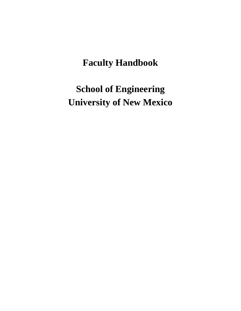# **Faculty Handbook**

**School of Engineering University of New Mexico**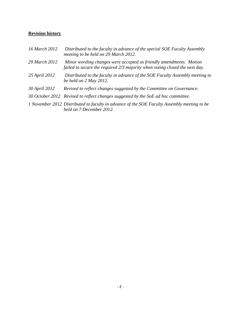#### **Revision history**

| 16 March 2012 | Distributed to the faculty in advance of the special SOE Faculty Assembly<br>meeting to be held on 29 March 2012.                                 |
|---------------|---------------------------------------------------------------------------------------------------------------------------------------------------|
| 29 March 2012 | Minor wording changes were accepted as friendly amendments. Motion<br>failed to secure the required 2/3 majority when voting closed the next day. |
| 25 April 2012 | Distributed to the faculty in advance of the SOE Faculty Assembly meeting to<br>be held on 2 May 2012.                                            |
| 30 April 2012 | Revised to reflect changes suggested by the Committee on Governance.                                                                              |
|               | 30 October 2012 Revised to reflect changes suggested by the SoE ad hoc committee.                                                                 |
|               | 1 November 2012 Distributed to faculty in advance of the SOE Faculty Assembly meeting to be<br>held on 7 December 2012.                           |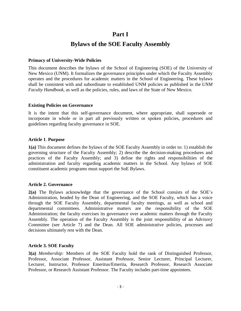## **Part I Bylaws of the SOE Faculty Assembly**

#### **Primacy of University-Wide Policies**

This document describes the bylaws of the School of Engineering (SOE) of the University of New Mexico (UNM). It formalizes the governance principles under which the Faculty Assembly operates and the procedures for academic matters in the School of Engineering. These bylaws shall be consistent with and subordinate to established UNM policies as published in the *UNM Faculty Handbook,* as well as the policies, rules, and laws of the State of New Mexico.

#### **Existing Policies on Governance**

It is the intent that this self-governance document, where appropriate, shall supersede or incorporate in whole or in part all previously written or spoken policies, procedures and guidelines regarding faculty governance in SOE.

#### **Article 1**. **Purpose**

**1(a)** This document defines the bylaws of the SOE Faculty Assembly in order to: 1) establish the governing structure of the Faculty Assembly; 2) describe the decision-making procedures and practices of the Faculty Assembly; and 3) define the rights and responsibilities of the administration and faculty regarding academic matters in the School. Any bylaws of SOE constituent academic programs must support the SoE Bylaws.

#### **Article 2. Governance**

**2(a)** The Bylaws acknowledge that the governance of the School consists of the SOE's Administration, headed by the Dean of Engineering, and the SOE Faculty, which has a voice through the SOE Faculty Assembly, departmental faculty meetings, as well as school and departmental committees. Administrative matters are the responsibility of the SOE Administration; the faculty exercises its governance over academic matters through the Faculty Assembly. The operation of the Faculty Assembly is the joint responsibility of an Advisory Committee (see Article 7) and the Dean. All SOE administrative policies, processes and decisions ultimately rest with the Dean.

#### **Article 3. SOE Faculty**

**3(a)** *Membership:* Members of the SOE Faculty hold the rank of Distinguished Professor, Professor, Associate Professor, Assistant Professor, Senior Lecturer, Principal Lecturer, Lecturer, Instructor, Professor Emeritus/Emerita, Research Professor, Research Associate Professor, or Research Assistant Professor. The Faculty includes part-time appointees.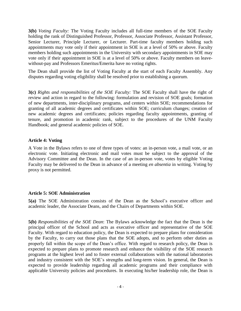**3(b)** *Voting Faculty:* The Voting Faculty includes all full-time members of the SOE Faculty holding the rank of Distinguished Professor, Professor, Associate Professor, Assistant Professor, Senior Lecturer, Principle Lecturer, or Lecturer. Part-time faculty members holding such appointments may vote only if their appointment in SOE is at a level of 50% or above. Faculty members holding such appointments in the University with secondary appointments in SOE may vote only if their appointment in SOE is at a level of 50% or above. Faculty members on leavewithout-pay and Professors Emeritus/Emerita have no voting rights.

The Dean shall provide the list of Voting Faculty at the start of each Faculty Assembly. Any disputes regarding voting eligibility shall be resolved prior to establishing a quorum.

**3(c)** *Rights and responsibilities of the SOE Faculty:* The SOE Faculty shall have the right of review and action in regard to the following: formulation and revision of SOE goals; formation of new departments, inter-disciplinary programs, and centers within SOE; recommendations for granting of all academic degrees and certificates within SOE; curriculum changes; creation of new academic degrees and certificates; policies regarding faculty appointments, granting of tenure, and promotion in academic rank, subject to the procedures of the UNM Faculty Handbook; and general academic policies of SOE.

#### **Article 4: Voting**

A Vote in the Bylaws refers to one of three types of votes: an in-person vote, a mail vote, or an electronic vote. Initiating electronic and mail votes must be subject to the approval of the Advisory Committee and the Dean. In the case of an in-person vote, votes by eligible Voting Faculty may be delivered to the Dean in advance of a meeting *en absentia* in writing. Voting by proxy is not permitted.

#### **Article 5: SOE Administration**

**5(a)** The SOE Administration consists of the Dean as the School's executive officer and academic leader, the Associate Deans, and the Chairs of Departments within SOE.

**5(b)** *Responsibilities of the SOE Dean*: The Bylaws acknowledge the fact that the Dean is the principal officer of the School and acts as executive officer and representative of the SOE Faculty. With regard to education policy, the Dean is expected to prepare plans for consideration by the Faculty, to carry out those plans that the SOE adopts, and to perform other duties as properly fall within the scope of the Dean's office. With regard to research policy, the Dean is expected to prepare plans to promote research and enhance the visibility of the SOE research programs at the highest level and to foster external collaborations with the national laboratories and industry consistent with the SOE's strengths and long-term vision. In general, the Dean is expected to provide leadership regarding all academic programs and their compliance with applicable University policies and procedures. In executing his/her leadership role, the Dean is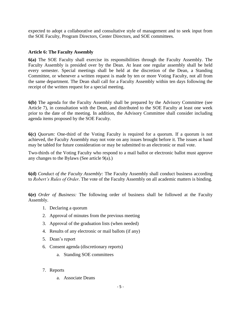expected to adopt a collaborative and consultative style of management and to seek input from the SOE Faculty, Program Directors, Center Directors, and SOE committees.

#### **Article 6: The Faculty Assembly**

**6(a)** The SOE Faculty shall exercise its responsibilities through the Faculty Assembly. The Faculty Assembly is presided over by the Dean. At least one regular assembly shall be held every semester. Special meetings shall be held at the discretion of the Dean, a Standing Committee, or whenever a written request is made by ten or more Voting Faculty, not all from the same department. The Dean shall call for a Faculty Assembly within ten days following the receipt of the written request for a special meeting.

**6(b)** The agenda for the Faculty Assembly shall be prepared by the Advisory Committee (see Article 7), in consultation with the Dean, and distributed to the SOE Faculty at least one week prior to the date of the meeting. In addition, the Advisory Committee shall consider including agenda items proposed by the SOE Faculty.

**6(c)** *Quorum:* One-third of the Voting Faculty is required for a quorum. If a quorum is not achieved, the Faculty Assembly may not vote on any issues brought before it. The issues at hand may be tabled for future consideration or may be submitted to an electronic or mail vote.

Two-thirds of the Voting Faculty who respond to a mail ballot or electronic ballot must approve any changes to the Bylaws (See article 9(a).)

**6(d)** *Conduct of the Faculty Assembly:* The Faculty Assembly shall conduct business according to *Robert's Rules of Order*. The vote of the Faculty Assembly on all academic matters is binding.

**6(e)** *Order of Business:* The following order of business shall be followed at the Faculty Assembly.

- 1. Declaring a quorum
- 2. Approval of minutes from the previous meeting
- 3. Approval of the graduation lists (when needed)
- 4. Results of any electronic or mail ballots (if any)
- 5. Dean's report
- 6. Consent agenda (discretionary reports)
	- a. Standing SOE committees
- 7. Reports
	- a. Associate Deans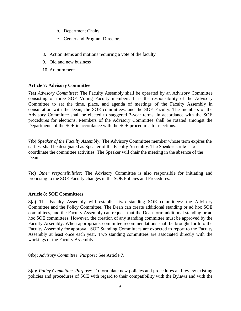- b. Department Chairs
- c. Center and Program Directors
- 8. Action items and motions requiring a vote of the faculty
- 9. Old and new business
- 10. Adjournment

#### **Article 7: Advisory Committee**

**7(a)** *Advisory Committee:* The Faculty Assembly shall be operated by an Advisory Committee consisting of three SOE Voting Faculty members. It is the responsibility of the Advisory Committee to set the time, place, and agenda of meetings of the Faculty Assembly in consultation with the Dean, the SOE committees, and the SOE Faculty. The members of the Advisory Committee shall be elected to staggered 3-year terms, in accordance with the SOE procedures for elections. Members of the Advisory Committee shall be rotated amongst the Departments of the SOE in accordance with the SOE procedures for elections.

**7(b)** *Speaker of the Faculty Assembly:* The Advisory Committee member whose term expires the earliest shall be designated as Speaker of the Faculty Assembly. The Speaker's role is to coordinate the committee activities. The Speaker will chair the meeting in the absence of the Dean.

**7(c)** *Other responsibilities:* The Advisory Committee is also responsible for initiating and proposing to the SOE Faculty changes in the SOE Policies and Procedures.

#### **Article 8: SOE Committees**

**8(a)** The Faculty Assembly will establish two standing SOE committees: the Advisory Committee and the Policy Committee. The Dean can create additional standing or ad hoc SOE committees, and the Faculty Assembly can request that the Dean form additional standing or ad hoc SOE committees. However, the creation of any standing committee must be approved by the Faculty Assembly. When appropriate, committee recommendations shall be brought forth to the Faculty Assembly for approval. SOE Standing Committees are expected to report to the Faculty Assembly at least once each year. Two standing committees are associated directly with the workings of the Faculty Assembly.

**8(b):** *Advisory Committee. Purpose:* See Article 7.

**8(c):** *Policy Committee. Purpose:* To formulate new policies and procedures and review existing policies and procedures of SOE with regard to their compatibility with the Bylaws and with the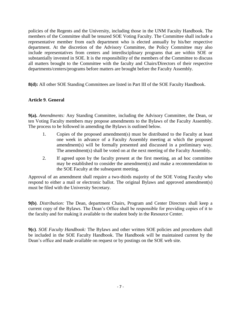policies of the Regents and the University, including those in the UNM Faculty Handbook. The members of the Committee shall be tenured SOE Voting Faculty. The Committee shall include a representative member from each department who is elected annually by his/her respective department. At the discretion of the Advisory Committee, the Policy Committee may also include representatives from centers and interdisciplinary programs that are within SOE or substantially invested in SOE. It is the responsibility of the members of the Committee to discuss all matters brought to the Committee with the faculty and Chairs/Directors of their respective departments/centers/programs before matters are brought before the Faculty Assembly.

**8(d):** All other SOE Standing Committees are listed in Part III of the SOE Faculty Handbook.

#### **Article 9**. **General**

**9(a).** *Amendments:* Any Standing Committee, including the Advisory Committee, the Dean, or ten Voting Faculty members may propose amendments to the Bylaws of the Faculty Assembly. The process to be followed in amending the Bylaws is outlined below.

- 1. Copies of the proposed amendment(s) must be distributed to the Faculty at least one week in advance of a Faculty Assembly meeting at which the proposed amendment(s) will be formally presented and discussed in a preliminary way. The amendment(s) shall be voted on at the next meeting of the Faculty Assembly.
- 2. If agreed upon by the faculty present at the first meeting, an ad hoc committee may be established to consider the amendment(s) and make a recommendation to the SOE Faculty at the subsequent meeting.

Approval of an amendment shall require a two-thirds majority of the SOE Voting Faculty who respond to either a mail or electronic ballot. The original Bylaws and approved amendment(s) must be filed with the University Secretary.

**9(b)**. *Distribution:* The Dean, department Chairs, Program and Center Directors shall keep a current copy of the Bylaws. The Dean's Office shall be responsible for providing copies of it to the faculty and for making it available to the student body in the Resource Center.

**9(c)**. *SOE Faculty Handbook:* The Bylaws and other written SOE policies and procedures shall be included in the SOE Faculty Handbook. The Handbook will be maintained current by the Dean's office and made available on request or by postings on the SOE web site.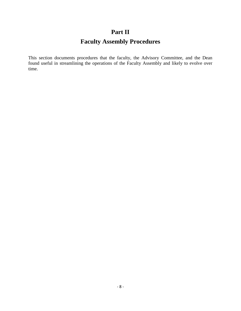### **Part II**

### **Faculty Assembly Procedures**

This section documents procedures that the faculty, the Advisory Committee, and the Dean found useful in streamlining the operations of the Faculty Assembly and likely to evolve over time.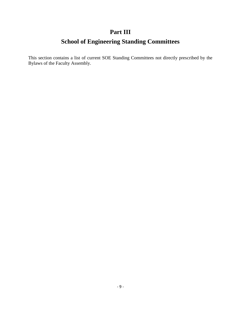### **Part III**

### **School of Engineering Standing Committees**

This section contains a list of current SOE Standing Committees not directly prescribed by the Bylaws of the Faculty Assembly.